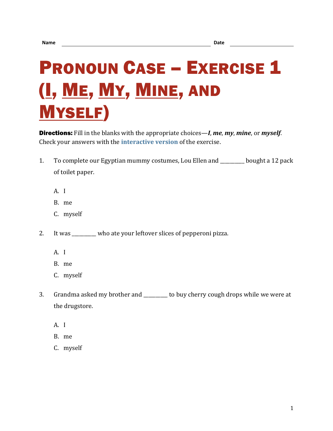## **PRONOUN CASE – EXERCISE 1** (I, ME, MY, MINE, AND MYSELF)

Directions: Fill in the blanks with the appropriate choices—*I*, *me*, *my*, *mine*, or *myself*. Check your answers with the **[interactive version](https://chompchomp.com/hotpotatoes/procase01.htm)** of the exercise.

- 1. To complete our Egyptian mummy costumes, Lou Ellen and \_\_\_\_\_\_\_\_\_\_ bought a 12 pack of toilet paper.
	- A. I
	- B. me
	- C. myself
- 2. It was \_\_\_\_\_\_\_\_\_\_ who ate your leftover slices of pepperoni pizza.
	- A. I
	- B. me
	- C. myself
- 3. Grandma asked my brother and \_\_\_\_\_\_\_\_\_\_ to buy cherry cough drops while we were at the drugstore.
	- A. I
	- B. me
	- C. myself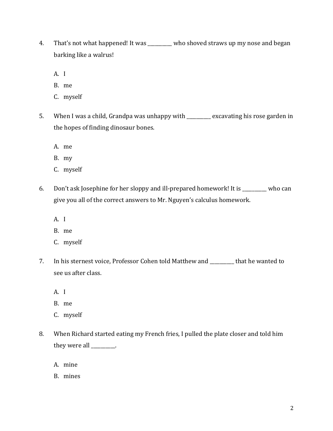- 4. That's not what happened! It was \_\_\_\_\_\_\_\_\_\_ who shoved straws up my nose and began barking like a walrus!
	- A. I
	- B. me
	- C. myself
- 5. When I was a child, Grandpa was unhappy with \_\_\_\_\_\_\_\_\_\_ excavating his rose garden in the hopes of finding dinosaur bones.
	- A. me
	- B. my
	- C. myself
- 6. Don't ask Josephine for her sloppy and ill-prepared homework! It is \_\_\_\_\_\_\_\_\_\_ who can give you all of the correct answers to Mr. Nguyen's calculus homework.
	- A. I
	- B. me
	- C. myself
- 7. In his sternest voice, Professor Cohen told Matthew and \_\_\_\_\_\_\_\_\_\_ that he wanted to see us after class.
	- A. I
	- B. me
	- C. myself
- 8. When Richard started eating my French fries, I pulled the plate closer and told him they were all \_\_\_\_\_\_\_\_\_\_.
	- A. mine
	- B. mines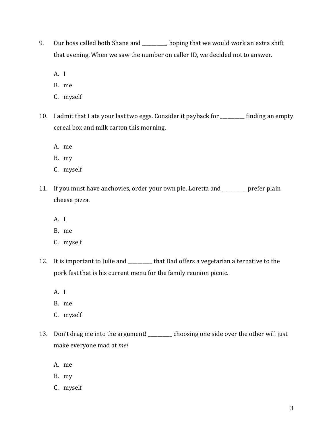- 9. Our boss called both Shane and \_\_\_\_\_\_\_\_, hoping that we would work an extra shift that evening. When we saw the number on caller ID, we decided not to answer.
	- A. I
	- B. me
	- C. myself
- 10. I admit that I ate your last two eggs. Consider it payback for \_\_\_\_\_\_\_\_\_\_ finding an empty cereal box and milk carton this morning.
	- A. me
	- B. my
	- C. myself
- 11. If you must have anchovies, order your own pie. Loretta and \_\_\_\_\_\_\_\_\_\_ prefer plain cheese pizza.
	- A. I
	- B. me
	- C. myself
- 12. It is important to Julie and **that Dad offers a vegetarian alternative to the** pork fest that is his current menu for the family reunion picnic.
	- A. I
	- B. me
	- C. myself
- 13. Don't drag me into the argument! \_\_\_\_\_\_\_\_ choosing one side over the other will just make everyone mad at *me!*
	- A. me
	- B. my
	- C. myself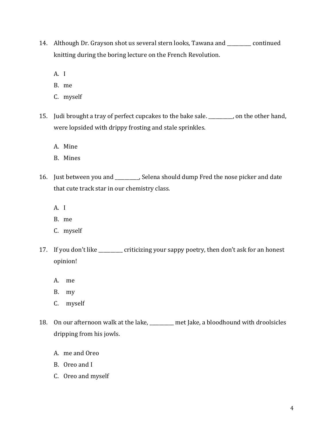- 14. Although Dr. Grayson shot us several stern looks, Tawana and \_\_\_\_\_\_\_\_\_\_ continued knitting during the boring lecture on the French Revolution.
	- A. I
	- B. me
	- C. myself
- 15. Judi brought a tray of perfect cupcakes to the bake sale. \_\_\_\_\_\_\_\_\_\_, on the other hand, were lopsided with drippy frosting and stale sprinkles.
	- A. Mine
	- B. Mines
- 16. Just between you and \_\_\_\_\_\_\_\_\_\_, Selena should dump Fred the nose picker and date that cute track star in our chemistry class.
	- A. I
	- B. me
	- C. myself
- 17. If you don't like \_\_\_\_\_\_\_\_\_\_ criticizing your sappy poetry, then don't ask for an honest opinion!
	- A. me
	- B. my
	- C. myself
- 18. On our afternoon walk at the lake, \_\_\_\_\_\_\_\_\_\_ met Jake, a bloodhound with droolsicles dripping from his jowls.
	- A. me and Oreo
	- B. Oreo and I
	- C. Oreo and myself